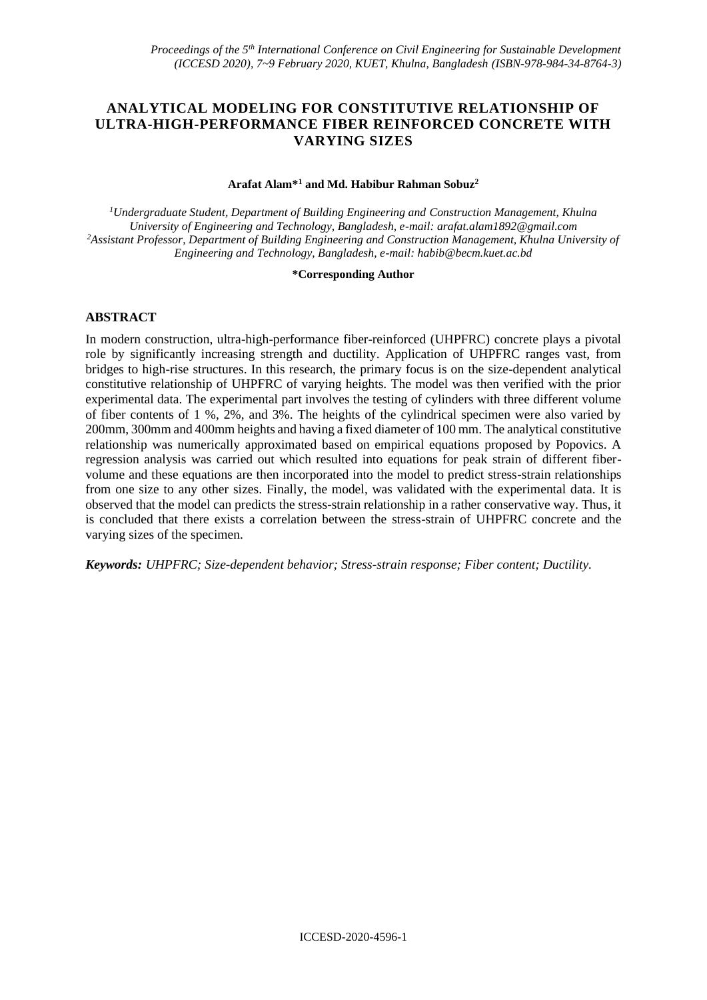# **ANALYTICAL MODELING FOR CONSTITUTIVE RELATIONSHIP OF ULTRA-HIGH-PERFORMANCE FIBER REINFORCED CONCRETE WITH VARYING SIZES**

### **Arafat Alam\*<sup>1</sup> and Md. Habibur Rahman Sobuz<sup>2</sup>**

*<sup>1</sup>Undergraduate Student, Department of Building Engineering and Construction Management, Khulna University of Engineering and Technology, Bangladesh, e-mail: arafat.alam1892@gmail.com <sup>2</sup>Assistant Professor, Department of Building Engineering and Construction Management, Khulna University of Engineering and Technology, Bangladesh, e-mail[: habib@becm.kuet.ac.bd](mailto:habib@becm.kuet.ac.bd)*

### **\*Corresponding Author**

### **ABSTRACT**

In modern construction, ultra-high-performance fiber-reinforced (UHPFRC) concrete plays a pivotal role by significantly increasing strength and ductility. Application of UHPFRC ranges vast, from bridges to high-rise structures. In this research, the primary focus is on the size-dependent analytical constitutive relationship of UHPFRC of varying heights. The model was then verified with the prior experimental data. The experimental part involves the testing of cylinders with three different volume of fiber contents of 1 %, 2%, and 3%. The heights of the cylindrical specimen were also varied by 200mm, 300mm and 400mm heights and having a fixed diameter of 100 mm. The analytical constitutive relationship was numerically approximated based on empirical equations proposed by Popovics. A regression analysis was carried out which resulted into equations for peak strain of different fibervolume and these equations are then incorporated into the model to predict stress-strain relationships from one size to any other sizes. Finally, the model, was validated with the experimental data. It is observed that the model can predicts the stress-strain relationship in a rather conservative way. Thus, it is concluded that there exists a correlation between the stress-strain of UHPFRC concrete and the varying sizes of the specimen.

*Keywords: UHPFRC; Size-dependent behavior; Stress-strain response; Fiber content; Ductility.*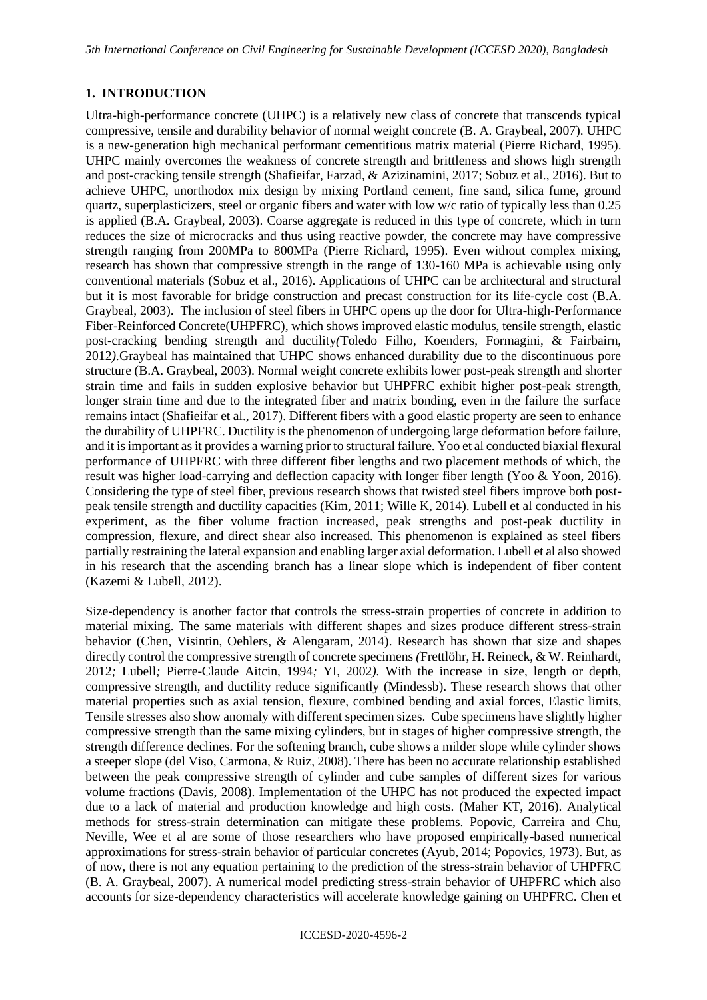# **1. INTRODUCTION**

Ultra-high-performance concrete (UHPC) is a relatively new class of concrete that transcends typical compressive, tensile and durability behavior of normal weight concrete (B. A. Graybeal, 2007). UHPC is a new-generation high mechanical performant cementitious matrix material (Pierre Richard, 1995). UHPC mainly overcomes the weakness of concrete strength and brittleness and shows high strength and post-cracking tensile strength (Shafieifar, Farzad, & Azizinamini, 2017; Sobuz et al., 2016). But to achieve UHPC, unorthodox mix design by mixing Portland cement, fine sand, silica fume, ground quartz, superplasticizers, steel or organic fibers and water with low w/c ratio of typically less than 0.25 is applied (B.A. Graybeal, 2003). Coarse aggregate is reduced in this type of concrete, which in turn reduces the size of microcracks and thus using reactive powder, the concrete may have compressive strength ranging from 200MPa to 800MPa (Pierre Richard, 1995). Even without complex mixing, research has shown that compressive strength in the range of 130-160 MPa is achievable using only conventional materials (Sobuz et al., 2016). Applications of UHPC can be architectural and structural but it is most favorable for bridge construction and precast construction for its life-cycle cost (B.A. Graybeal, 2003). The inclusion of steel fibers in UHPC opens up the door for Ultra-high-Performance Fiber-Reinforced Concrete(UHPFRC), which shows improved elastic modulus, tensile strength, elastic post-cracking bending strength and ductility*(*Toledo Filho, Koenders, Formagini, & Fairbairn, 2012*).*Graybeal has maintained that UHPC shows enhanced durability due to the discontinuous pore structure (B.A. Graybeal, 2003). Normal weight concrete exhibits lower post-peak strength and shorter strain time and fails in sudden explosive behavior but UHPFRC exhibit higher post-peak strength, longer strain time and due to the integrated fiber and matrix bonding, even in the failure the surface remains intact (Shafieifar et al., 2017). Different fibers with a good elastic property are seen to enhance the durability of UHPFRC. Ductility is the phenomenon of undergoing large deformation before failure, and it is important as it provides a warning prior to structural failure. Yoo et al conducted biaxial flexural performance of UHPFRC with three different fiber lengths and two placement methods of which, the result was higher load-carrying and deflection capacity with longer fiber length (Yoo & Yoon, 2016). Considering the type of steel fiber, previous research shows that twisted steel fibers improve both postpeak tensile strength and ductility capacities (Kim, 2011; Wille K, 2014). Lubell et al conducted in his experiment, as the fiber volume fraction increased, peak strengths and post-peak ductility in compression, flexure, and direct shear also increased. This phenomenon is explained as steel fibers partially restraining the lateral expansion and enabling larger axial deformation. Lubell et al also showed in his research that the ascending branch has a linear slope which is independent of fiber content (Kazemi & Lubell, 2012).

Size-dependency is another factor that controls the stress-strain properties of concrete in addition to material mixing. The same materials with different shapes and sizes produce different stress-strain behavior (Chen, Visintin, Oehlers, & Alengaram, 2014). Research has shown that size and shapes directly control the compressive strength of concrete specimens *(*Frettlöhr, H. Reineck, & W. Reinhardt, 2012*;* Lubell*;* Pierre-Claude Aitcin, 1994*;* YI, 2002*).* With the increase in size, length or depth, compressive strength, and ductility reduce significantly (Mindessb). These research shows that other material properties such as axial tension, flexure, combined bending and axial forces, Elastic limits, Tensile stresses also show anomaly with different specimen sizes. Cube specimens have slightly higher compressive strength than the same mixing cylinders, but in stages of higher compressive strength, the strength difference declines. For the softening branch, cube shows a milder slope while cylinder shows a steeper slope (del Viso, Carmona, & Ruiz, 2008). There has been no accurate relationship established between the peak compressive strength of cylinder and cube samples of different sizes for various volume fractions (Davis, 2008). Implementation of the UHPC has not produced the expected impact due to a lack of material and production knowledge and high costs. (Maher KT, 2016). Analytical methods for stress-strain determination can mitigate these problems. Popovic, Carreira and Chu, Neville, Wee et al are some of those researchers who have proposed empirically-based numerical approximations for stress-strain behavior of particular concretes (Ayub, 2014; Popovics, 1973). But, as of now, there is not any equation pertaining to the prediction of the stress-strain behavior of UHPFRC (B. A. Graybeal, 2007). A numerical model predicting stress-strain behavior of UHPFRC which also accounts for size-dependency characteristics will accelerate knowledge gaining on UHPFRC. Chen et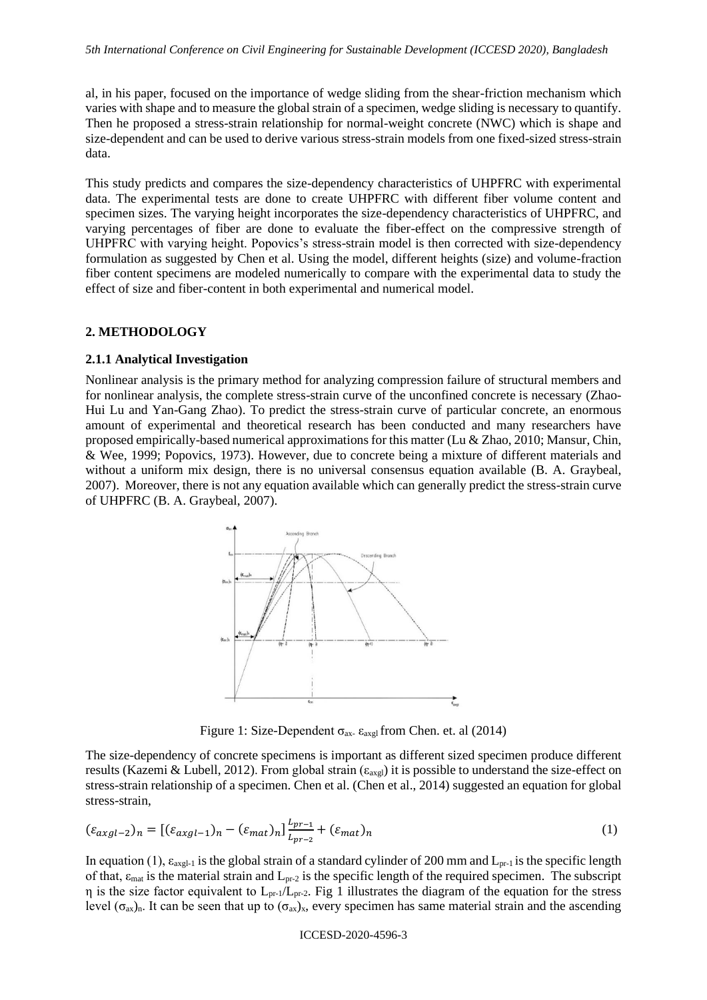al, in his paper, focused on the importance of wedge sliding from the shear-friction mechanism which varies with shape and to measure the global strain of a specimen, wedge sliding is necessary to quantify. Then he proposed a stress-strain relationship for normal-weight concrete (NWC) which is shape and size-dependent and can be used to derive various stress-strain models from one fixed-sized stress-strain data.

This study predicts and compares the size-dependency characteristics of UHPFRC with experimental data. The experimental tests are done to create UHPFRC with different fiber volume content and specimen sizes. The varying height incorporates the size-dependency characteristics of UHPFRC, and varying percentages of fiber are done to evaluate the fiber-effect on the compressive strength of UHPFRC with varying height. Popovics's stress-strain model is then corrected with size-dependency formulation as suggested by Chen et al. Using the model, different heights (size) and volume-fraction fiber content specimens are modeled numerically to compare with the experimental data to study the effect of size and fiber-content in both experimental and numerical model.

#### **2. METHODOLOGY**

#### **2.1.1 Analytical Investigation**

Nonlinear analysis is the primary method for analyzing compression failure of structural members and for nonlinear analysis, the complete stress-strain curve of the unconfined concrete is necessary (Zhao-Hui Lu and Yan-Gang Zhao). To predict the stress-strain curve of particular concrete, an enormous amount of experimental and theoretical research has been conducted and many researchers have proposed empirically-based numerical approximations for this matter (Lu & Zhao, 2010; Mansur, Chin, & Wee, 1999; Popovics, 1973). However, due to concrete being a mixture of different materials and without a uniform mix design, there is no universal consensus equation available (B. A. Graybeal, 2007). Moreover, there is not any equation available which can generally predict the stress-strain curve of UHPFRC (B. A. Graybeal, 2007).



Figure 1: Size-Dependent  $\sigma_{ax}$   $\varepsilon_{axgl}$  from Chen. et. al (2014)

The size-dependency of concrete specimens is important as different sized specimen produce different results (Kazemi & Lubell, 2012). From global strain ( $\varepsilon_{\text{axgl}}$ ) it is possible to understand the size-effect on stress-strain relationship of a specimen. Chen et al. (Chen et al., 2014) suggested an equation for global stress-strain,

$$
(\varepsilon_{axgl-2})_n = [(\varepsilon_{axgl-1})_n - (\varepsilon_{mat})_n]_{L_{pr-2}}^{L_{pr-1}} + (\varepsilon_{mat})_n
$$
\n(1)

In equation (1),  $\varepsilon_{\text{axgl-1}}$  is the global strain of a standard cylinder of 200 mm and  $L_{\text{pr-1}}$  is the specific length of that,  $\varepsilon_{\text{mat}}$  is the material strain and  $L_{\text{pr-2}}$  is the specific length of the required specimen. The subscript  $η$  is the size factor equivalent to  $L_{pr-1}/L_{pr-2}$ . Fig 1 illustrates the diagram of the equation for the stress level ( $\sigma_{ax}$ )<sub>n</sub>. It can be seen that up to ( $\sigma_{ax}$ )<sub>x</sub>, every specimen has same material strain and the ascending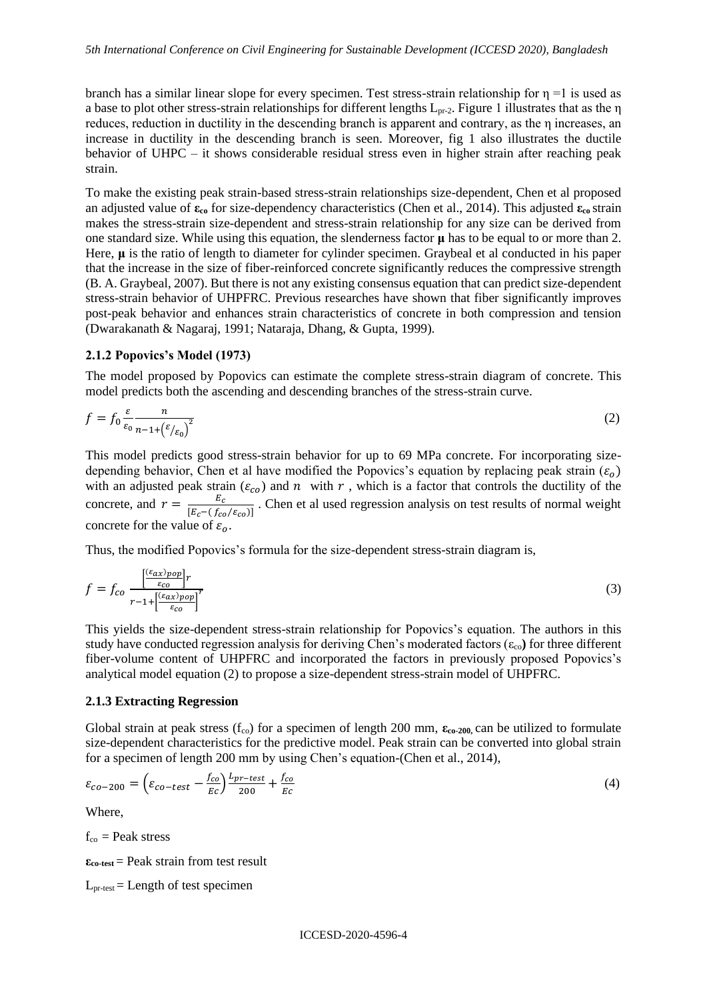branch has a similar linear slope for every specimen. Test stress-strain relationship for  $\eta =1$  is used as a base to plot other stress-strain relationships for different lengths  $L_{pr-2}$ . Figure 1 illustrates that as the  $\eta$ reduces, reduction in ductility in the descending branch is apparent and contrary, as the η increases, an increase in ductility in the descending branch is seen. Moreover, fig 1 also illustrates the ductile behavior of UHPC – it shows considerable residual stress even in higher strain after reaching peak strain.

To make the existing peak strain-based stress-strain relationships size-dependent, Chen et al proposed an adjusted value of **εco** for size-dependency characteristics (Chen et al., 2014). This adjusted **εco** strain makes the stress-strain size-dependent and stress-strain relationship for any size can be derived from one standard size. While using this equation, the slenderness factor **μ** has to be equal to or more than 2. Here, **μ** is the ratio of length to diameter for cylinder specimen. Graybeal et al conducted in his paper that the increase in the size of fiber-reinforced concrete significantly reduces the compressive strength (B. A. Graybeal, 2007). But there is not any existing consensus equation that can predict size-dependent stress-strain behavior of UHPFRC. Previous researches have shown that fiber significantly improves post-peak behavior and enhances strain characteristics of concrete in both compression and tension (Dwarakanath & Nagaraj, 1991; Nataraja, Dhang, & Gupta, 1999).

#### **2.1.2 Popovics's Model (1973)**

The model proposed by Popovics can estimate the complete stress-strain diagram of concrete. This model predicts both the ascending and descending branches of the stress-strain curve.

$$
f = f_0 \frac{\varepsilon}{\varepsilon_0} \frac{n}{n - 1 + \left(\varepsilon_{/\varepsilon_0}\right)^2} \tag{2}
$$

This model predicts good stress-strain behavior for up to 69 MPa concrete. For incorporating sizedepending behavior, Chen et al have modified the Popovics's equation by replacing peak strain  $(\varepsilon_o)$ with an adjusted peak strain  $(\varepsilon_{co})$  and  $n$  with  $r$ , which is a factor that controls the ductility of the concrete, and  $r = \frac{E_c}{\sqrt{E_c + E_c}}$  $\frac{E_c}{[E_c - (f_{co}/E_{co})]}$ . Chen et al used regression analysis on test results of normal weight concrete for the value of  $\varepsilon_o$ .

Thus, the modified Popovics's formula for the size-dependent stress-strain diagram is,

$$
f = f_{co} \frac{\left[\frac{(\varepsilon_{ax})_{pop}}{\varepsilon_{co}}\right]r}{r - 1 + \left[\frac{(\varepsilon_{ax})_{pop}}{\varepsilon_{co}}\right]^r}
$$
(3)

This yields the size-dependent stress-strain relationship for Popovics's equation. The authors in this study have conducted regression analysis for deriving Chen's moderated factors  $(\epsilon_{\rm co})$  for three different fiber-volume content of UHPFRC and incorporated the factors in previously proposed Popovics's analytical model equation (2) to propose a size-dependent stress-strain model of UHPFRC.

### **2.1.3 Extracting Regression**

Global strain at peak stress (f<sub>co</sub>) for a specimen of length 200 mm,  $\epsilon_{c0-200}$ , can be utilized to formulate size-dependent characteristics for the predictive model. Peak strain can be converted into global strain for a specimen of length 200 mm by using Chen's equation-(Chen et al., 2014),

$$
\varepsilon_{co-200} = \left(\varepsilon_{co-test} - \frac{f_{co}}{Ec}\right) \frac{L_{pr-test}}{200} + \frac{f_{co}}{Ec}
$$
\n(4)

Where,

 $f_{\rm co}$  = Peak stress

**εco-test** = Peak strain from test result

 $L_{\text{pr-test}} =$  Length of test specimen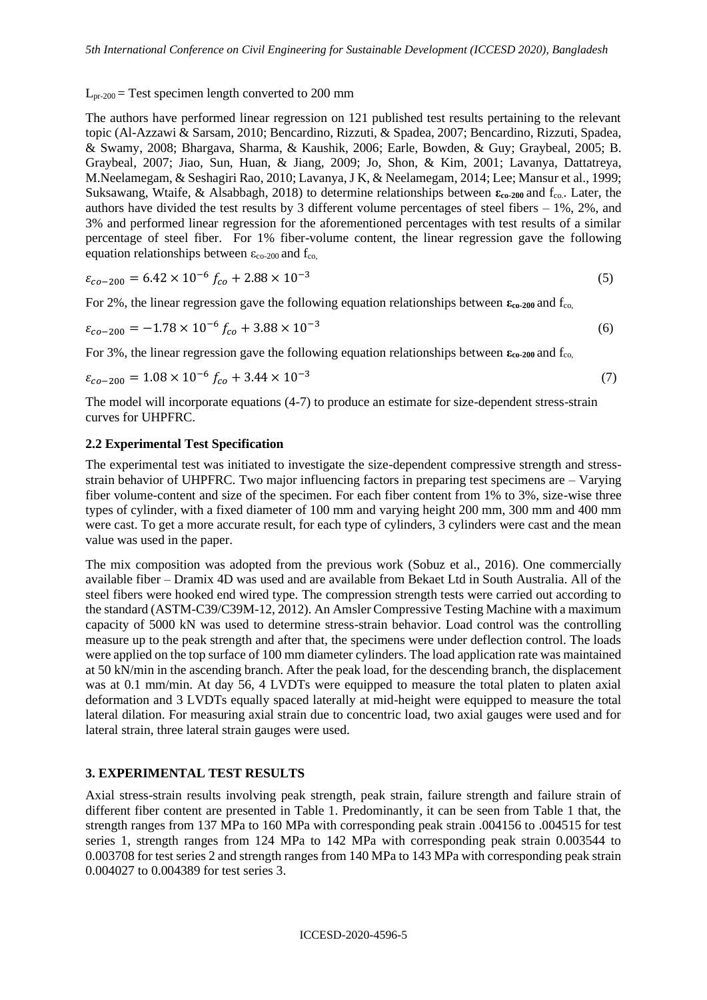$L_{pr-200}$  = Test specimen length converted to 200 mm

The authors have performed linear regression on 121 published test results pertaining to the relevant topic (Al-Azzawi & Sarsam, 2010; Bencardino, Rizzuti, & Spadea, 2007; Bencardino, Rizzuti, Spadea, & Swamy, 2008; Bhargava, Sharma, & Kaushik, 2006; Earle, Bowden, & Guy; Graybeal, 2005; B. Graybeal, 2007; Jiao, Sun, Huan, & Jiang, 2009; Jo, Shon, & Kim, 2001; Lavanya, Dattatreya, M.Neelamegam, & Seshagiri Rao, 2010; Lavanya, J K, & Neelamegam, 2014; Lee; Mansur et al., 1999; Suksawang, Wtaife, & Alsabbagh, 2018) to determine relationships between **εco-200** and fco.. Later, the authors have divided the test results by 3 different volume percentages of steel fibers – 1%, 2%, and 3% and performed linear regression for the aforementioned percentages with test results of a similar percentage of steel fiber. For 1% fiber-volume content, the linear regression gave the following equation relationships between  $\varepsilon_{\rm co-200}$  and  $f_{\rm co.}$ 

$$
\varepsilon_{co-200} = 6.42 \times 10^{-6} f_{co} + 2.88 \times 10^{-3}
$$
\n<sup>(5)</sup>

For 2%, the linear regression gave the following equation relationships between  $\epsilon_{\rm co-200}$  and  $f_{\rm co}$ .

$$
\varepsilon_{co-200} = -1.78 \times 10^{-6} f_{co} + 3.88 \times 10^{-3}
$$
 (6)

For 3%, the linear regression gave the following equation relationships between  $\epsilon_{\rm co-200}$  and  $f_{\rm co}$ .

$$
\varepsilon_{co-200} = 1.08 \times 10^{-6} f_{co} + 3.44 \times 10^{-3}
$$
\n<sup>(7)</sup>

The model will incorporate equations (4-7) to produce an estimate for size-dependent stress-strain curves for UHPFRC.

### **2.2 Experimental Test Specification**

The experimental test was initiated to investigate the size-dependent compressive strength and stressstrain behavior of UHPFRC. Two major influencing factors in preparing test specimens are – Varying fiber volume-content and size of the specimen. For each fiber content from 1% to 3%, size-wise three types of cylinder, with a fixed diameter of 100 mm and varying height 200 mm, 300 mm and 400 mm were cast. To get a more accurate result, for each type of cylinders, 3 cylinders were cast and the mean value was used in the paper.

The mix composition was adopted from the previous work (Sobuz et al., 2016). One commercially available fiber – Dramix 4D was used and are available from Bekaet Ltd in South Australia. All of the steel fibers were hooked end wired type. The compression strength tests were carried out according to the standard (ASTM-C39/C39M-12, 2012). An Amsler Compressive Testing Machine with a maximum capacity of 5000 kN was used to determine stress-strain behavior. Load control was the controlling measure up to the peak strength and after that, the specimens were under deflection control. The loads were applied on the top surface of 100 mm diameter cylinders. The load application rate was maintained at 50 kN/min in the ascending branch. After the peak load, for the descending branch, the displacement was at 0.1 mm/min. At day 56, 4 LVDTs were equipped to measure the total platen to platen axial deformation and 3 LVDTs equally spaced laterally at mid-height were equipped to measure the total lateral dilation. For measuring axial strain due to concentric load, two axial gauges were used and for lateral strain, three lateral strain gauges were used.

## **3. EXPERIMENTAL TEST RESULTS**

Axial stress-strain results involving peak strength, peak strain, failure strength and failure strain of different fiber content are presented in Table 1. Predominantly, it can be seen from Table 1 that, the strength ranges from 137 MPa to 160 MPa with corresponding peak strain .004156 to .004515 for test series 1, strength ranges from 124 MPa to 142 MPa with corresponding peak strain 0.003544 to 0.003708 for test series 2 and strength ranges from 140 MPa to 143 MPa with corresponding peak strain 0.004027 to 0.004389 for test series 3.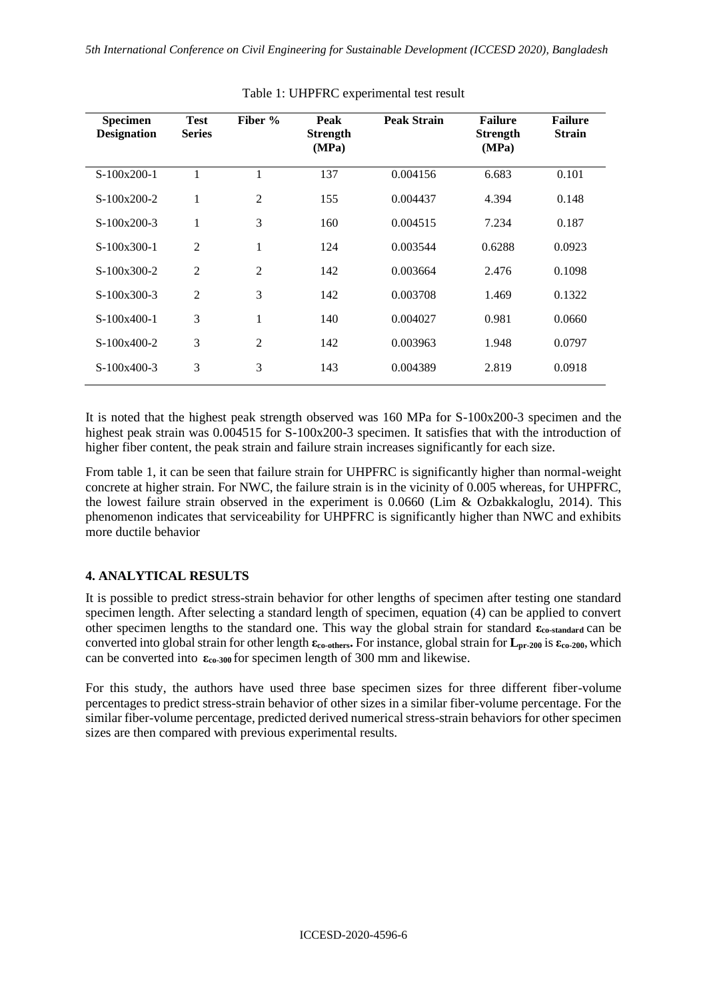| <b>Specimen</b><br><b>Designation</b> | <b>Test</b><br><b>Series</b> | Fiber %        | Peak<br><b>Strength</b><br>(MPa) | <b>Peak Strain</b> | <b>Failure</b><br><b>Strength</b><br>(MPa) | <b>Failure</b><br><b>Strain</b> |
|---------------------------------------|------------------------------|----------------|----------------------------------|--------------------|--------------------------------------------|---------------------------------|
| $S-100x200-1$                         | 1                            | 1              | 137                              | 0.004156           | 6.683                                      | 0.101                           |
| $S-100x200-2$                         | 1                            | 2              | 155                              | 0.004437           | 4.394                                      | 0.148                           |
| $S-100x200-3$                         | 1                            | 3              | 160                              | 0.004515           | 7.234                                      | 0.187                           |
| $S-100x300-1$                         | $\overline{2}$               |                | 124                              | 0.003544           | 0.6288                                     | 0.0923                          |
| $S-100x300-2$                         | $\overline{2}$               | $\overline{2}$ | 142                              | 0.003664           | 2.476                                      | 0.1098                          |
| $S-100x300-3$                         | $\overline{2}$               | 3              | 142                              | 0.003708           | 1.469                                      | 0.1322                          |
| $S-100x400-1$                         | 3                            | 1              | 140                              | 0.004027           | 0.981                                      | 0.0660                          |
| $S-100x400-2$                         | 3                            | $\overline{2}$ | 142                              | 0.003963           | 1.948                                      | 0.0797                          |
| $S-100x400-3$                         | 3                            | 3              | 143                              | 0.004389           | 2.819                                      | 0.0918                          |

Table 1: UHPFRC experimental test result

It is noted that the highest peak strength observed was 160 MPa for S-100x200-3 specimen and the highest peak strain was  $0.004515$  for S-100x200-3 specimen. It satisfies that with the introduction of higher fiber content, the peak strain and failure strain increases significantly for each size.

From table 1, it can be seen that failure strain for UHPFRC is significantly higher than normal-weight concrete at higher strain. For NWC, the failure strain is in the vicinity of 0.005 whereas, for UHPFRC, the lowest failure strain observed in the experiment is 0.0660 (Lim & Ozbakkaloglu, 2014). This phenomenon indicates that serviceability for UHPFRC is significantly higher than NWC and exhibits more ductile behavior

# **4. ANALYTICAL RESULTS**

It is possible to predict stress-strain behavior for other lengths of specimen after testing one standard specimen length. After selecting a standard length of specimen, equation (4) can be applied to convert other specimen lengths to the standard one. This way the global strain for standard **εco-standard** can be converted into global strain for other length **εco-others.** For instance, global strain for **Lpr-200** is **εco-200**,which can be converted into  $\varepsilon_{c0-300}$  for specimen length of 300 mm and likewise.

For this study, the authors have used three base specimen sizes for three different fiber-volume percentages to predict stress-strain behavior of other sizes in a similar fiber-volume percentage. For the similar fiber-volume percentage, predicted derived numerical stress-strain behaviors for other specimen sizes are then compared with previous experimental results.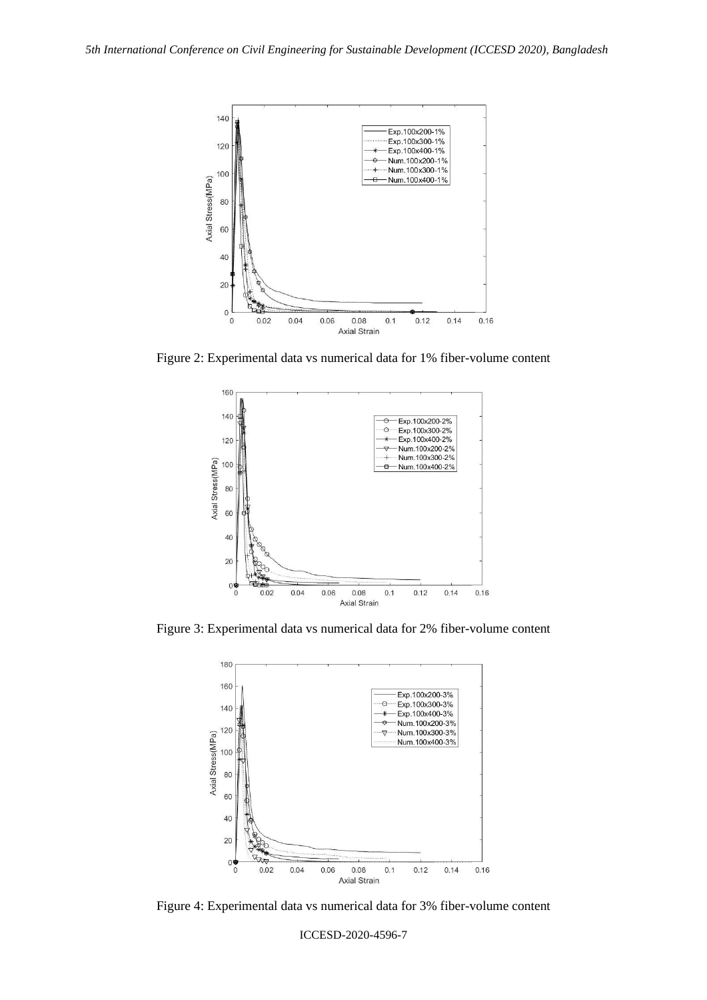

Figure 2: Experimental data vs numerical data for 1% fiber-volume content



Figure 3: Experimental data vs numerical data for 2% fiber-volume content



Figure 4: Experimental data vs numerical data for 3% fiber-volume content

ICCESD-2020-4596-7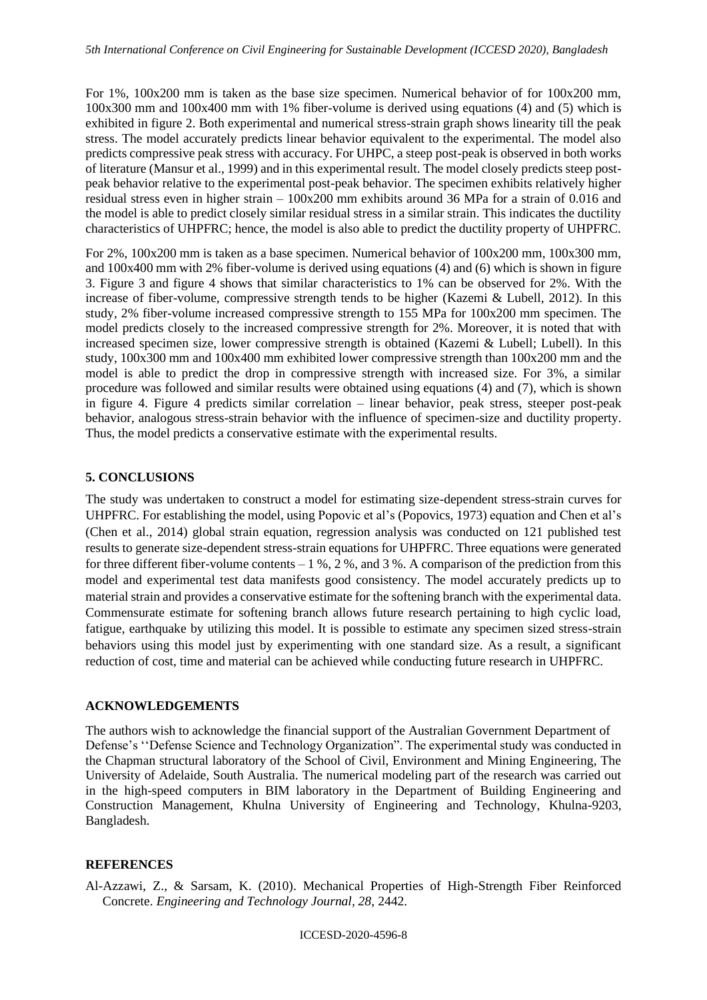For 1%, 100x200 mm is taken as the base size specimen. Numerical behavior of for 100x200 mm, 100x300 mm and 100x400 mm with 1% fiber-volume is derived using equations (4) and (5) which is exhibited in figure 2. Both experimental and numerical stress-strain graph shows linearity till the peak stress. The model accurately predicts linear behavior equivalent to the experimental. The model also predicts compressive peak stress with accuracy. For UHPC, a steep post-peak is observed in both works of literature (Mansur et al., 1999) and in this experimental result. The model closely predicts steep postpeak behavior relative to the experimental post-peak behavior. The specimen exhibits relatively higher residual stress even in higher strain – 100x200 mm exhibits around 36 MPa for a strain of 0.016 and the model is able to predict closely similar residual stress in a similar strain. This indicates the ductility characteristics of UHPFRC; hence, the model is also able to predict the ductility property of UHPFRC.

For 2%, 100x200 mm is taken as a base specimen. Numerical behavior of 100x200 mm, 100x300 mm, and 100x400 mm with 2% fiber-volume is derived using equations (4) and (6) which is shown in figure 3. Figure 3 and figure 4 shows that similar characteristics to 1% can be observed for 2%. With the increase of fiber-volume, compressive strength tends to be higher (Kazemi & Lubell, 2012). In this study, 2% fiber-volume increased compressive strength to 155 MPa for 100x200 mm specimen. The model predicts closely to the increased compressive strength for 2%. Moreover, it is noted that with increased specimen size, lower compressive strength is obtained (Kazemi & Lubell; Lubell). In this study, 100x300 mm and 100x400 mm exhibited lower compressive strength than 100x200 mm and the model is able to predict the drop in compressive strength with increased size. For 3%, a similar procedure was followed and similar results were obtained using equations (4) and (7), which is shown in figure 4. Figure 4 predicts similar correlation – linear behavior, peak stress, steeper post-peak behavior, analogous stress-strain behavior with the influence of specimen-size and ductility property. Thus, the model predicts a conservative estimate with the experimental results.

# **5. CONCLUSIONS**

The study was undertaken to construct a model for estimating size-dependent stress-strain curves for UHPFRC. For establishing the model, using Popovic et al's (Popovics, 1973) equation and Chen et al's (Chen et al., 2014) global strain equation, regression analysis was conducted on 121 published test results to generate size-dependent stress-strain equations for UHPFRC. Three equations were generated for three different fiber-volume contents – 1 %, 2 %, and 3 %. A comparison of the prediction from this model and experimental test data manifests good consistency. The model accurately predicts up to material strain and provides a conservative estimate for the softening branch with the experimental data. Commensurate estimate for softening branch allows future research pertaining to high cyclic load, fatigue, earthquake by utilizing this model. It is possible to estimate any specimen sized stress-strain behaviors using this model just by experimenting with one standard size. As a result, a significant reduction of cost, time and material can be achieved while conducting future research in UHPFRC.

## **ACKNOWLEDGEMENTS**

The authors wish to acknowledge the financial support of the Australian Government Department of Defense's ''Defense Science and Technology Organization". The experimental study was conducted in the Chapman structural laboratory of the School of Civil, Environment and Mining Engineering, The University of Adelaide, South Australia. The numerical modeling part of the research was carried out in the high-speed computers in BIM laboratory in the Department of Building Engineering and Construction Management, Khulna University of Engineering and Technology, Khulna-9203, Bangladesh.

## **REFERENCES**

Al-Azzawi, Z., & Sarsam, K. (2010). Mechanical Properties of High-Strength Fiber Reinforced Concrete. *Engineering and Technology Journal, 28*, 2442.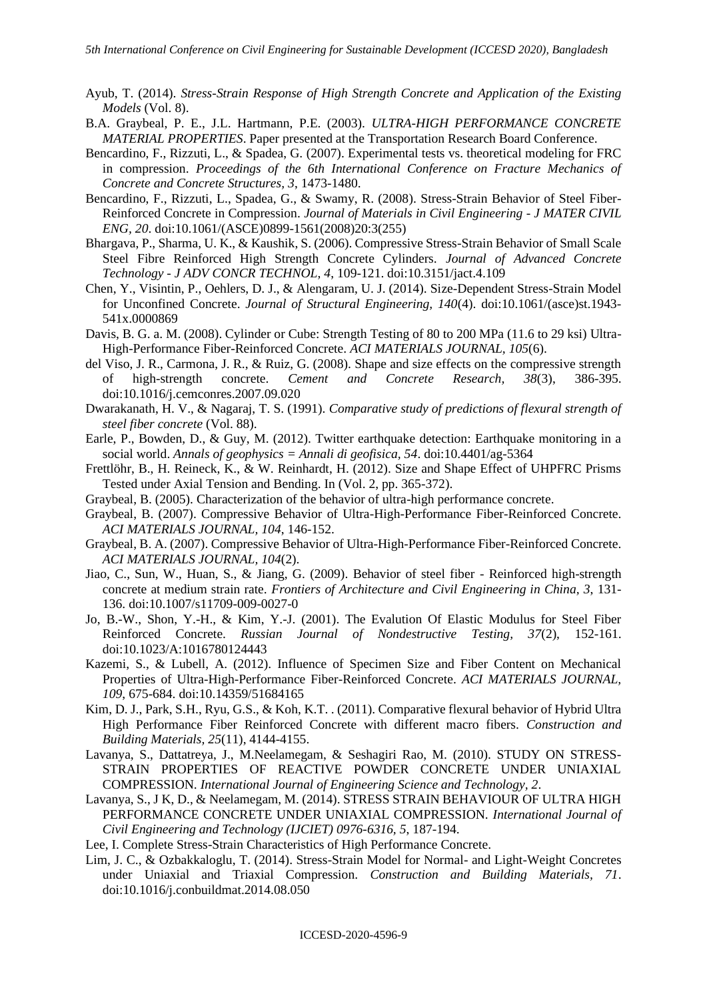- Ayub, T. (2014). *Stress-Strain Response of High Strength Concrete and Application of the Existing Models* (Vol. 8).
- B.A. Graybeal, P. E., J.L. Hartmann, P.E. (2003). *ULTRA-HIGH PERFORMANCE CONCRETE MATERIAL PROPERTIES*. Paper presented at the Transportation Research Board Conference.
- Bencardino, F., Rizzuti, L., & Spadea, G. (2007). Experimental tests vs. theoretical modeling for FRC in compression. *Proceedings of the 6th International Conference on Fracture Mechanics of Concrete and Concrete Structures, 3*, 1473-1480.
- Bencardino, F., Rizzuti, L., Spadea, G., & Swamy, R. (2008). Stress-Strain Behavior of Steel Fiber-Reinforced Concrete in Compression. *Journal of Materials in Civil Engineering - J MATER CIVIL ENG, 20*. doi:10.1061/(ASCE)0899-1561(2008)20:3(255)
- Bhargava, P., Sharma, U. K., & Kaushik, S. (2006). Compressive Stress-Strain Behavior of Small Scale Steel Fibre Reinforced High Strength Concrete Cylinders. *Journal of Advanced Concrete Technology - J ADV CONCR TECHNOL, 4*, 109-121. doi:10.3151/jact.4.109
- Chen, Y., Visintin, P., Oehlers, D. J., & Alengaram, U. J. (2014). Size-Dependent Stress-Strain Model for Unconfined Concrete. *Journal of Structural Engineering, 140*(4). doi:10.1061/(asce)st.1943- 541x.0000869
- Davis, B. G. a. M. (2008). Cylinder or Cube: Strength Testing of 80 to 200 MPa (11.6 to 29 ksi) Ultra-High-Performance Fiber-Reinforced Concrete. *ACI MATERIALS JOURNAL, 105*(6).
- del Viso, J. R., Carmona, J. R., & Ruiz, G. (2008). Shape and size effects on the compressive strength of high-strength concrete. *Cement and Concrete Research, 38*(3), 386-395. doi:10.1016/j.cemconres.2007.09.020
- Dwarakanath, H. V., & Nagaraj, T. S. (1991). *Comparative study of predictions of flexural strength of steel fiber concrete* (Vol. 88).
- Earle, P., Bowden, D., & Guy, M. (2012). Twitter earthquake detection: Earthquake monitoring in a social world. *Annals of geophysics = Annali di geofisica, 54*. doi:10.4401/ag-5364
- Frettlöhr, B., H. Reineck, K., & W. Reinhardt, H. (2012). Size and Shape Effect of UHPFRC Prisms Tested under Axial Tension and Bending. In (Vol. 2, pp. 365-372).
- Graybeal, B. (2005). Characterization of the behavior of ultra-high performance concrete.
- Graybeal, B. (2007). Compressive Behavior of Ultra-High-Performance Fiber-Reinforced Concrete. *ACI MATERIALS JOURNAL, 104*, 146-152.
- Graybeal, B. A. (2007). Compressive Behavior of Ultra-High-Performance Fiber-Reinforced Concrete. *ACI MATERIALS JOURNAL, 104*(2).
- Jiao, C., Sun, W., Huan, S., & Jiang, G. (2009). Behavior of steel fiber Reinforced high-strength concrete at medium strain rate. *Frontiers of Architecture and Civil Engineering in China, 3*, 131- 136. doi:10.1007/s11709-009-0027-0
- Jo, B.-W., Shon, Y.-H., & Kim, Y.-J. (2001). The Evalution Of Elastic Modulus for Steel Fiber Reinforced Concrete. *Russian Journal of Nondestructive Testing, 37*(2), 152-161. doi:10.1023/A:1016780124443
- Kazemi, S., & Lubell, A. (2012). Influence of Specimen Size and Fiber Content on Mechanical Properties of Ultra-High-Performance Fiber-Reinforced Concrete. *ACI MATERIALS JOURNAL, 109*, 675-684. doi:10.14359/51684165
- Kim, D. J., Park, S.H., Ryu, G.S., & Koh, K.T. . (2011). Comparative flexural behavior of Hybrid Ultra High Performance Fiber Reinforced Concrete with different macro fibers. *Construction and Building Materials, 25*(11), 4144-4155.
- Lavanya, S., Dattatreya, J., M.Neelamegam, & Seshagiri Rao, M. (2010). STUDY ON STRESS-STRAIN PROPERTIES OF REACTIVE POWDER CONCRETE UNDER UNIAXIAL COMPRESSION. *International Journal of Engineering Science and Technology, 2*.
- Lavanya, S., J K, D., & Neelamegam, M. (2014). STRESS STRAIN BEHAVIOUR OF ULTRA HIGH PERFORMANCE CONCRETE UNDER UNIAXIAL COMPRESSION. *International Journal of Civil Engineering and Technology (IJCIET) 0976-6316, 5*, 187-194.
- Lee, I. Complete Stress-Strain Characteristics of High Performance Concrete.
- Lim, J. C., & Ozbakkaloglu, T. (2014). Stress-Strain Model for Normal- and Light-Weight Concretes under Uniaxial and Triaxial Compression. *Construction and Building Materials, 71*. doi:10.1016/j.conbuildmat.2014.08.050